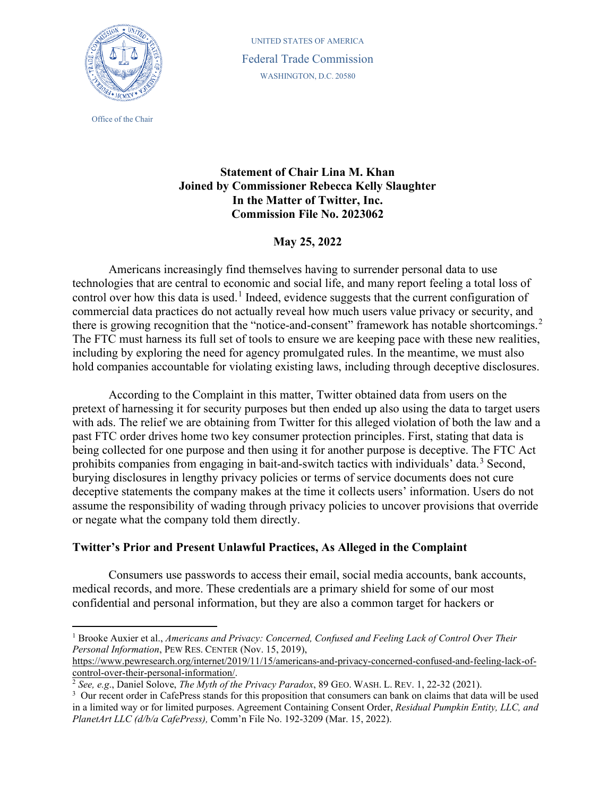

Office of the Chair

UNITED STATES OF AMERICA Federal Trade Commission WASHINGTON, D.C. 20580

## **Statement of Chair Lina M. Khan Joined by Commissioner Rebecca Kelly Slaughter In the Matter of Twitter, Inc. Commission File No. 2023062**

## **May 25, 2022**

Americans increasingly find themselves having to surrender personal data to use technologies that are central to economic and social life, and many report feeling a total loss of control over how this data is used.<sup>[1](#page-0-0)</sup> Indeed, evidence suggests that the current configuration of commercial data practices do not actually reveal how much users value privacy or security, and there is growing recognition that the "notice-and-consent" framework has notable shortcomings.<sup>[2](#page-0-1)</sup> The FTC must harness its full set of tools to ensure we are keeping pace with these new realities, including by exploring the need for agency promulgated rules. In the meantime, we must also hold companies accountable for violating existing laws, including through deceptive disclosures.

According to the Complaint in this matter, Twitter obtained data from users on the pretext of harnessing it for security purposes but then ended up also using the data to target users with ads. The relief we are obtaining from Twitter for this alleged violation of both the law and a past FTC order drives home two key consumer protection principles. First, stating that data is being collected for one purpose and then using it for another purpose is deceptive. The FTC Act prohibits companies from engaging in bait-and-switch tactics with individuals' data.<sup>[3](#page-0-2)</sup> Second, burying disclosures in lengthy privacy policies or terms of service documents does not cure deceptive statements the company makes at the time it collects users' information. Users do not assume the responsibility of wading through privacy policies to uncover provisions that override or negate what the company told them directly.

## **Twitter's Prior and Present Unlawful Practices, As Alleged in the Complaint**

Consumers use passwords to access their email, social media accounts, bank accounts, medical records, and more. These credentials are a primary shield for some of our most confidential and personal information, but they are also a common target for hackers or

<span id="page-0-0"></span><sup>1</sup> Brooke Auxier et al., *Americans and Privacy: Concerned, Confused and Feeling Lack of Control Over Their Personal Information*, PEW RES. CENTER (Nov. 15, 2019),

[https://www.pewresearch.org/internet/2019/11/15/americans-and-privacy-concerned-confused-and-feeling-lack-of](https://www.pewresearch.org/internet/2019/11/15/americans-and-privacy-concerned-confused-and-feeling-lack-of-control-over-their-personal-information/)[control-over-their-personal-information/.](https://www.pewresearch.org/internet/2019/11/15/americans-and-privacy-concerned-confused-and-feeling-lack-of-control-over-their-personal-information/) 2 *See, e.g*., Daniel Solove, *The Myth of the Privacy Paradox*, 89 GEO. WASH. L. REV. 1, 22-32 (2021). 3

<span id="page-0-1"></span>

<span id="page-0-2"></span> $3$  Our recent order in CafePress stands for this proposition that consumers can bank on claims that data will be used in a limited way or for limited purposes. Agreement Containing Consent Order, *Residual Pumpkin Entity, LLC, and PlanetArt LLC (d/b/a CafePress),* Comm'n File No. 192-3209 (Mar. 15, 2022).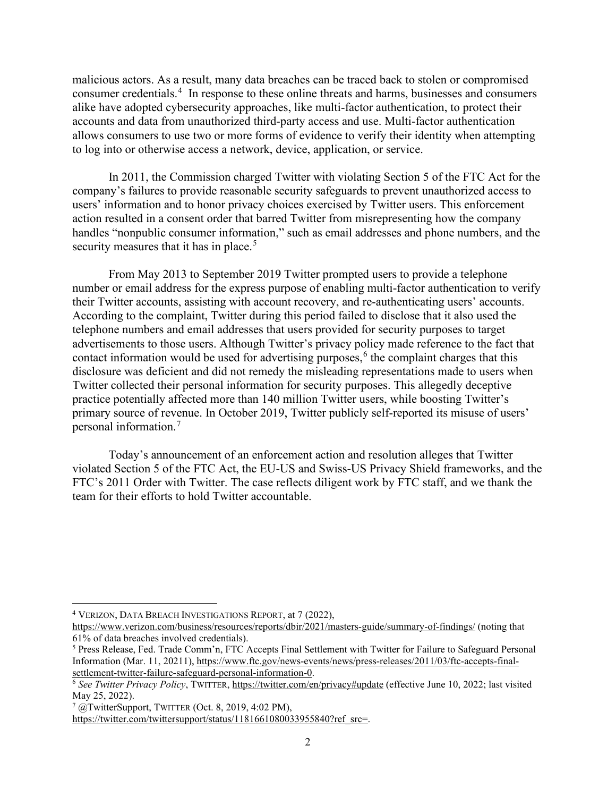malicious actors. As a result, many data breaches can be traced back to stolen or compromised consumer credentials.<sup>[4](#page-1-0)</sup> In response to these online threats and harms, businesses and consumers alike have adopted cybersecurity approaches, like multi-factor authentication, to protect their accounts and data from unauthorized third-party access and use. Multi-factor authentication allows consumers to use two or more forms of evidence to verify their identity when attempting to log into or otherwise access a network, device, application, or service.

In 2011, the Commission charged Twitter with violating Section 5 of the FTC Act for the company's failures to provide reasonable security safeguards to prevent unauthorized access to users' information and to honor privacy choices exercised by Twitter users. This enforcement action resulted in a consent order that barred Twitter from misrepresenting how the company handles "nonpublic consumer information," such as email addresses and phone numbers, and the security measures that it has in place.<sup>[5](#page-1-1)</sup>

From May 2013 to September 2019 Twitter prompted users to provide a telephone number or email address for the express purpose of enabling multi-factor authentication to verify their Twitter accounts, assisting with account recovery, and re-authenticating users' accounts. According to the complaint, Twitter during this period failed to disclose that it also used the telephone numbers and email addresses that users provided for security purposes to target advertisements to those users. Although Twitter's privacy policy made reference to the fact that contact information would be used for advertising purposes,<sup> $6$ </sup> the complaint charges that this disclosure was deficient and did not remedy the misleading representations made to users when Twitter collected their personal information for security purposes. This allegedly deceptive practice potentially affected more than 140 million Twitter users, while boosting Twitter's primary source of revenue. In October 2019, Twitter publicly self-reported its misuse of users' personal information.[7](#page-1-3)

Today's announcement of an enforcement action and resolution alleges that Twitter violated Section 5 of the FTC Act, the EU-US and Swiss-US Privacy Shield frameworks, and the FTC's 2011 Order with Twitter. The case reflects diligent work by FTC staff, and we thank the team for their efforts to hold Twitter accountable.

<span id="page-1-0"></span><sup>4</sup> VERIZON, DATA BREACH INVESTIGATIONS REPORT, at 7 (2022),

<https://www.verizon.com/business/resources/reports/dbir/2021/masters-guide/summary-of-findings/> (noting that 61% of data breaches involved credentials).

<span id="page-1-1"></span><sup>5</sup> Press Release, Fed. Trade Comm'n, FTC Accepts Final Settlement with Twitter for Failure to Safeguard Personal Information (Mar. 11, 20211)[, https://www.ftc.gov/news-events/news/press-releases/2011/03/ftc-accepts-final](https://www.ftc.gov/news-events/news/press-releases/2011/03/ftc-accepts-final-settlement-twitter-failure-safeguard-personal-information-0)[settlement-twitter-failure-safeguard-personal-information-0.](https://www.ftc.gov/news-events/news/press-releases/2011/03/ftc-accepts-final-settlement-twitter-failure-safeguard-personal-information-0)<br><sup>6</sup> See *Twitter Privacy Policy*, TWITTER,<https://twitter.com/en/privacy#update> (effective June 10, 2022; last visited

<span id="page-1-2"></span>May 25, 2022).

<span id="page-1-3"></span> $7 \text{ @TwitterSupport},$  TWITTER (Oct. 8, 2019, 4:02 PM),

[https://twitter.com/twittersupport/status/1181661080033955840?ref\\_src=.](https://twitter.com/twittersupport/status/1181661080033955840?ref_src=)